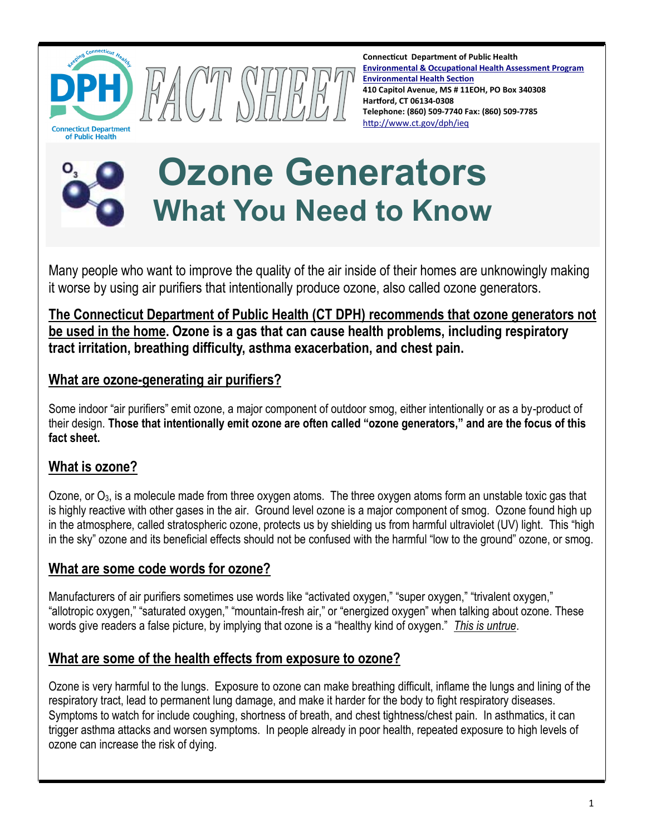

**Connecticut Department of Public Health [Environmental & Occupational Health Assessment Program](http://www.ct.gov/dph/cwp/view.asp?a=3140&q=510246&dphPNavCtr=|#55464) [Environmental Health Section](http://www.ct.gov/dph/taxonomy/ct_taxonomy.asp?DLN=46944) 410 Capitol Avenue, MS # 11EOH, PO Box 340308 Hartford, CT 06134-0308 Telephone: (860) 509-7740 Fax: (860) 509-7785** <http://www.ct.gov/dph/ieq>



# **Ozone Generators What You Need to Know**

Many people who want to improve the quality of the air inside of their homes are unknowingly making it worse by using air purifiers that intentionally produce ozone, also called ozone generators.

**The Connecticut Department of Public Health (CT DPH) recommends that ozone generators not be used in the home. Ozone is a gas that can cause health problems, including respiratory tract irritation, breathing difficulty, asthma exacerbation, and chest pain.** 

# **What are ozone-generating air purifiers?**

Some indoor "air purifiers" emit ozone, a major component of outdoor smog, either intentionally or as a by-product of their design. **Those that intentionally emit ozone are often called "ozone generators," and are the focus of this fact sheet.**

# **What is ozone?**

Ozone, or O<sub>3</sub>, is a molecule made from three oxygen atoms. The three oxygen atoms form an unstable toxic gas that is highly reactive with other gases in the air. Ground level ozone is a major component of smog. Ozone found high up in the atmosphere, called stratospheric ozone, protects us by shielding us from harmful ultraviolet (UV) light. This "high in the sky" ozone and its beneficial effects should not be confused with the harmful "low to the ground" ozone, or smog.

# **What are some code words for ozone?**

Manufacturers of air purifiers sometimes use words like "activated oxygen," "super oxygen," "trivalent oxygen," "allotropic oxygen," "saturated oxygen," "mountain-fresh air," or "energized oxygen" when talking about ozone. These words give readers a false picture, by implying that ozone is a "healthy kind of oxygen." *This is untrue*.

# **What are some of the health effects from exposure to ozone?**

Ozone is very harmful to the lungs. Exposure to ozone can make breathing difficult, inflame the lungs and lining of the respiratory tract, lead to permanent lung damage, and make it harder for the body to fight respiratory diseases. Symptoms to watch for include coughing, shortness of breath, and chest tightness/chest pain. In asthmatics, it can trigger asthma attacks and worsen symptoms. In people already in poor health, repeated exposure to high levels of ozone can increase the risk of dying.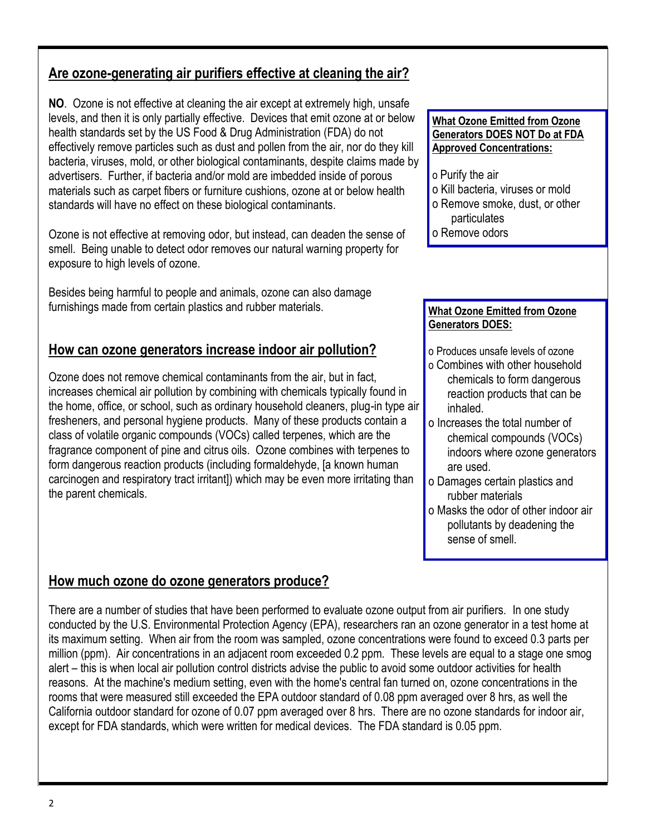## **Are ozone-generating air purifiers effective at cleaning the air?**

**NO**. Ozone is not effective at cleaning the air except at extremely high, unsafe levels, and then it is only partially effective. Devices that emit ozone at or below health standards set by the US Food & Drug Administration (FDA) do not effectively remove particles such as dust and pollen from the air, nor do they kill bacteria, viruses, mold, or other biological contaminants, despite claims made by advertisers. Further, if bacteria and/or mold are imbedded inside of porous materials such as carpet fibers or furniture cushions, ozone at or below health standards will have no effect on these biological contaminants.

Ozone is not effective at removing odor, but instead, can deaden the sense of smell. Being unable to detect odor removes our natural warning property for exposure to high levels of ozone.

Besides being harmful to people and animals, ozone can also damage furnishings made from certain plastics and rubber materials.

## **How can ozone generators increase indoor air pollution?**

Ozone does not remove chemical contaminants from the air, but in fact, increases chemical air pollution by combining with chemicals typically found in the home, office, or school, such as ordinary household cleaners, plug-in type air fresheners, and personal hygiene products. Many of these products contain a class of volatile organic compounds (VOCs) called terpenes, which are the fragrance component of pine and citrus oils. Ozone combines with terpenes to form dangerous reaction products (including formaldehyde, [a known human carcinogen and respiratory tract irritant]) which may be even more irritating than the parent chemicals.

## **How much ozone do ozone generators produce?**

There are a number of studies that have been performed to evaluate ozone output from air purifiers. In one study conducted by the U.S. Environmental Protection Agency (EPA), researchers ran an ozone generator in a test home at its maximum setting. When air from the room was sampled, ozone concentrations were found to exceed 0.3 parts per million (ppm). Air concentrations in an adjacent room exceeded 0.2 ppm. These levels are equal to a stage one smog alert – this is when local air pollution control districts advise the public to avoid some outdoor activities for health reasons. At the machine's medium setting, even with the home's central fan turned on, ozone concentrations in the rooms that were measured still exceeded the EPA outdoor standard of 0.08 ppm averaged over 8 hrs, as well the California outdoor standard for ozone of 0.07 ppm averaged over 8 hrs. There are no ozone standards for indoor air, except for FDA standards, which were written for medical devices. The FDA standard is 0.05 ppm.

#### **What Ozone Emitted from Ozone Generators DOES NOT Do at FDA Approved Concentrations:**

- o Purify the air
- o Kill bacteria, viruses or mold
- o Remove smoke, dust, or other particulates
- o Remove odors

#### **What Ozone Emitted from Ozone Generators DOES:**

- o Produces unsafe levels of ozone
- o Combines with other household chemicals to form dangerous reaction products that can be inhaled.
- o Increases the total number of chemical compounds (VOCs) indoors where ozone generators are used.
- o Damages certain plastics and rubber materials
- o Masks the odor of other indoor air pollutants by deadening the sense of smell.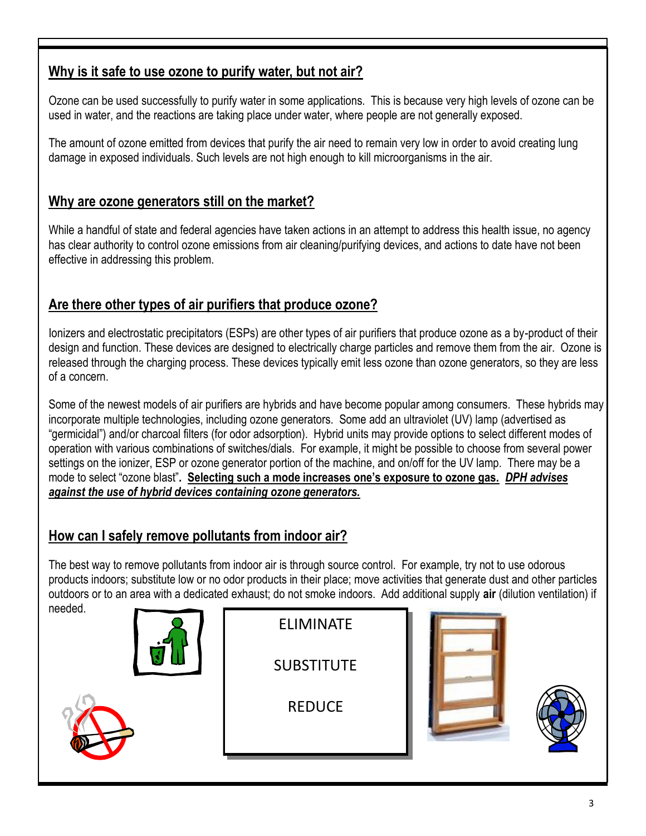# **Why is it safe to use ozone to purify water, but not air?**

Ozone can be used successfully to purify water in some applications. This is because very high levels of ozone can be used in water, and the reactions are taking place under water, where people are not generally exposed.

The amount of ozone emitted from devices that purify the air need to remain very low in order to avoid creating lung damage in exposed individuals. Such levels are not high enough to kill microorganisms in the air.

## **Why are ozone generators still on the market?**

While a handful of state and federal agencies have taken actions in an attempt to address this health issue, no agency has clear authority to control ozone emissions from air cleaning/purifying devices, and actions to date have not been effective in addressing this problem.

## **Are there other types of air purifiers that produce ozone?**

Ionizers and electrostatic precipitators (ESPs) are other types of air purifiers that produce ozone as a by-product of their design and function. These devices are designed to electrically charge particles and remove them from the air. Ozone is released through the charging process. These devices typically emit less ozone than ozone generators, so they are less of a concern.

Some of the newest models of air purifiers are hybrids and have become popular among consumers. These hybrids may incorporate multiple technologies, including ozone generators. Some add an ultraviolet (UV) lamp (advertised as "germicidal") and/or charcoal filters (for odor adsorption). Hybrid units may provide options to select different modes of operation with various combinations of switches/dials. For example, it might be possible to choose from several power settings on the ionizer, ESP or ozone generator portion of the machine, and on/off for the UV lamp. There may be a mode to select "ozone blast"**. Selecting such a mode increases one's exposure to ozone gas.** *DPH advises against the use of hybrid devices containing ozone generators.*

# **How can I safely remove pollutants from indoor air?**

The best way to remove pollutants from indoor air is through source control. For example, try not to use odorous products indoors; substitute low or no odor products in their place; move activities that generate dust and other particles outdoors or to an area with a dedicated exhaust; do not smoke indoors. Add additional supply **air** (dilution ventilation) if needed.





**SUBSTITUTE** 

**REDUCE**